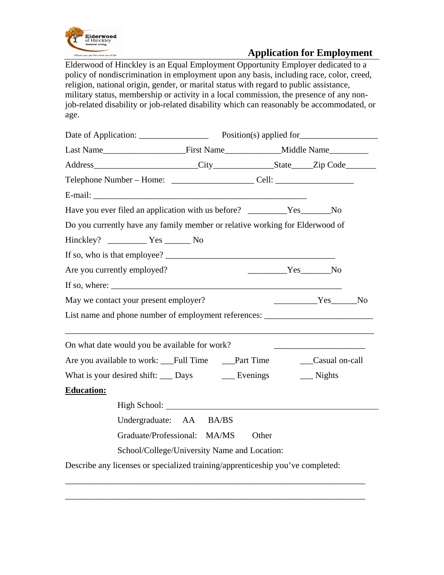

## **Application for Employment**

Elderwood of Hinckley is an Equal Employment Opportunity Employer dedicated to a policy of nondiscrimination in employment upon any basis, including race, color, creed, religion, national origin, gender, or marital status with regard to public assistance, military status, membership or activity in a local commission, the presence of any nonjob-related disability or job-related disability which can reasonably be accommodated, or age.

| Telephone Number – Home: __________________________Cell: _______________________                                                                                                                                                                                                                                                                                                                                                            |                                              |          |                      |  |
|---------------------------------------------------------------------------------------------------------------------------------------------------------------------------------------------------------------------------------------------------------------------------------------------------------------------------------------------------------------------------------------------------------------------------------------------|----------------------------------------------|----------|----------------------|--|
| E-mail: 2008. 2008. 2008. 2009. 2010. 2010. 2010. 2010. 2010. 2010. 2010. 2010. 2010. 2010. 2010. 2010. 2010. 2010. 2010. 2010. 2010. 2010. 2010. 2010. 2010. 2010. 2010. 2010. 2010. 2010. 2010. 2010. 2010. 2010. 2010. 2010                                                                                                                                                                                                              |                                              |          |                      |  |
| Have you ever filed an application with us before? _________Yes______No                                                                                                                                                                                                                                                                                                                                                                     |                                              |          |                      |  |
| Do you currently have any family member or relative working for Elderwood of                                                                                                                                                                                                                                                                                                                                                                |                                              |          |                      |  |
|                                                                                                                                                                                                                                                                                                                                                                                                                                             |                                              |          |                      |  |
|                                                                                                                                                                                                                                                                                                                                                                                                                                             |                                              |          |                      |  |
| Are you currently employed?                                                                                                                                                                                                                                                                                                                                                                                                                 |                                              | $Yes$ No |                      |  |
| If so, where: $\frac{1}{\sqrt{1-\frac{1}{2}} \cdot \frac{1}{\sqrt{1-\frac{1}{2}} \cdot \frac{1}{\sqrt{1-\frac{1}{2}} \cdot \frac{1}{\sqrt{1-\frac{1}{2}} \cdot \frac{1}{\sqrt{1-\frac{1}{2}} \cdot \frac{1}{\sqrt{1-\frac{1}{2}} \cdot \frac{1}{\sqrt{1-\frac{1}{2}} \cdot \frac{1}{\sqrt{1-\frac{1}{2}} \cdot \frac{1}{\sqrt{1-\frac{1}{2}} \cdot \frac{1}{\sqrt{1-\frac{1}{2}} \cdot \frac{1}{\sqrt{1-\frac{1}{2}} \cdot \frac{1}{\sqrt{$ |                                              |          |                      |  |
| May we contact your present employer?                                                                                                                                                                                                                                                                                                                                                                                                       |                                              |          | $Yes$ No             |  |
| List name and phone number of employment references: ____________________________                                                                                                                                                                                                                                                                                                                                                           |                                              |          |                      |  |
| On what date would you be available for work?                                                                                                                                                                                                                                                                                                                                                                                               |                                              |          |                      |  |
| Are you available to work: ___Full Time ____Part Time                                                                                                                                                                                                                                                                                                                                                                                       |                                              |          | Casual on-call       |  |
| What is your desired shift: ____ Days _______ Evenings                                                                                                                                                                                                                                                                                                                                                                                      |                                              |          | $\frac{1}{2}$ Nights |  |
| <b>Education:</b>                                                                                                                                                                                                                                                                                                                                                                                                                           |                                              |          |                      |  |
|                                                                                                                                                                                                                                                                                                                                                                                                                                             |                                              |          |                      |  |
|                                                                                                                                                                                                                                                                                                                                                                                                                                             | Undergraduate: AA BA/BS                      |          |                      |  |
|                                                                                                                                                                                                                                                                                                                                                                                                                                             | Graduate/Professional: MA/MS                 | Other    |                      |  |
|                                                                                                                                                                                                                                                                                                                                                                                                                                             | School/College/University Name and Location: |          |                      |  |
|                                                                                                                                                                                                                                                                                                                                                                                                                                             |                                              |          |                      |  |

\_\_\_\_\_\_\_\_\_\_\_\_\_\_\_\_\_\_\_\_\_\_\_\_\_\_\_\_\_\_\_\_\_\_\_\_\_\_\_\_\_\_\_\_\_\_\_\_\_\_\_\_\_\_\_\_\_\_\_\_\_\_\_\_\_\_\_\_\_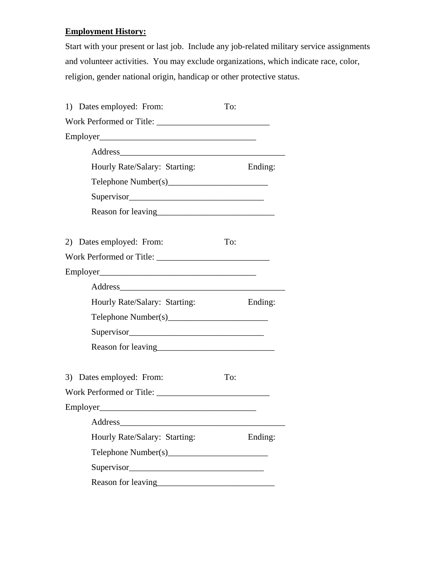## **Employment History:**

Start with your present or last job. Include any job-related military service assignments and volunteer activities. You may exclude organizations, which indicate race, color, religion, gender national origin, handicap or other protective status.

| 1) Dates employed: From:      | To: |         |
|-------------------------------|-----|---------|
|                               |     |         |
|                               |     |         |
|                               |     |         |
| Hourly Rate/Salary: Starting: |     | Ending: |
|                               |     |         |
| Supervisor                    |     |         |
|                               |     |         |
|                               |     |         |
| 2) Dates employed: From:      | To: |         |
| Work Performed or Title:      |     |         |
|                               |     |         |
|                               |     |         |
| Hourly Rate/Salary: Starting: |     | Ending: |
|                               |     |         |
| Supervisor                    |     |         |
|                               |     |         |
|                               |     |         |
| 3) Dates employed: From:      | To: |         |
| Work Performed or Title:      |     |         |
|                               |     |         |
| Address                       |     |         |
| Hourly Rate/Salary: Starting: |     | Ending: |
| Telephone Number(s)           |     |         |
|                               |     |         |
|                               |     |         |